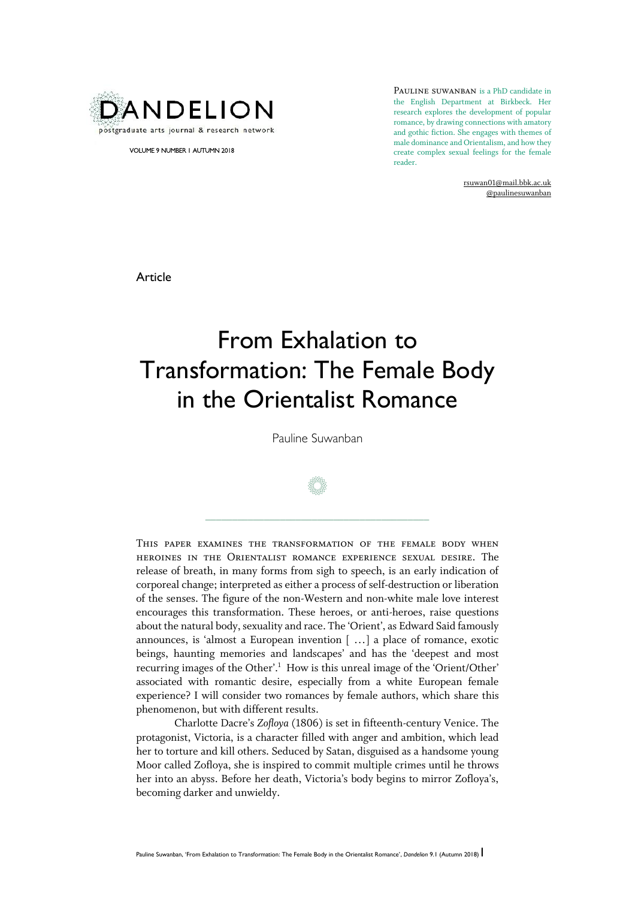

VOLUME 9 NUMBER 1 AUTUMN 2018

PAULINE SUWANBAN is a PhD candidate in the English Department at Birkbeck. Her research explores the development of popular romance, by drawing connections with amatory and gothic fiction. She engages with themes of male dominance and Orientalism, and how they create complex sexual feelings for the female reader.

> rsuwan01@mail.bbk.ac.uk @paulinesuwanban

Article

# From Exhalation to Transformation: The Female Body in the Orientalist Romance

Pauline Suwanban



 $\frac{1}{2}$  , and the set of the set of the set of the set of the set of the set of the set of the set of the set of the set of the set of the set of the set of the set of the set of the set of the set of the set of the set

This paper examines the transformation of the female body when heroines in the Orientalist romance experience sexual desire. The release of breath, in many forms from sigh to speech, is an early indication of corporeal change; interpreted as either a process of self-destruction or liberation of the senses. The figure of the non-Western and non-white male love interest encourages this transformation. These heroes, or anti-heroes, raise questions about the natural body, sexuality and race. The 'Orient', as Edward Said famously announces, is 'almost a European invention [ …] a place of romance, exotic beings, haunting memories and landscapes' and has the 'deepest and most recurring images of the Other'.<sup>1</sup> How is this unreal image of the 'Orient/Other' associated with romantic desire, especially from a white European female experience? I will consider two romances by female authors, which share this phenomenon, but with different results.

Charlotte Dacre's *Zofloya* (1806) is set in fifteenth-century Venice. The protagonist, Victoria, is a character filled with anger and ambition, which lead her to torture and kill others. Seduced by Satan, disguised as a handsome young Moor called Zofloya, she is inspired to commit multiple crimes until he throws her into an abyss. Before her death, Victoria's body begins to mirror Zofloya's, becoming darker and unwieldy.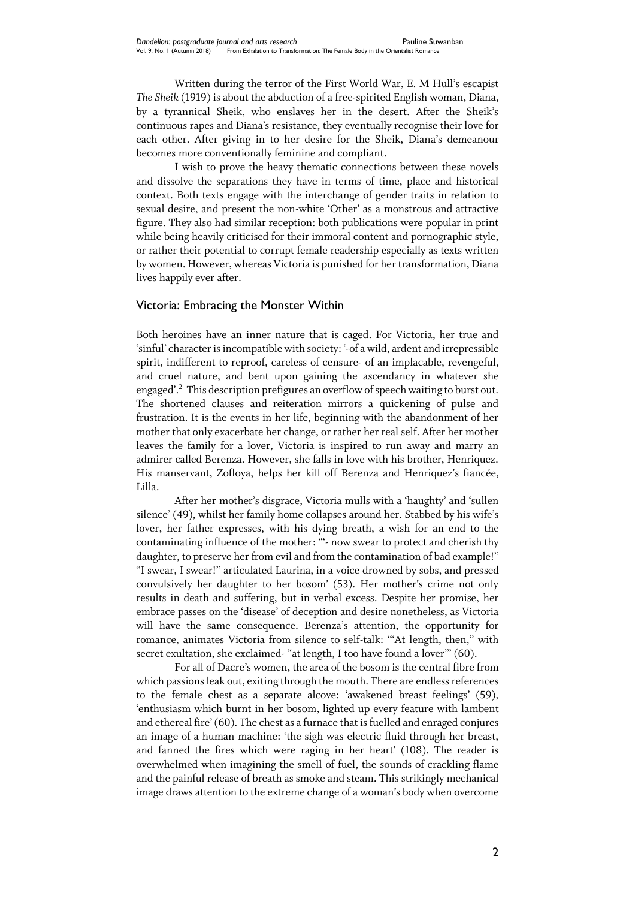Written during the terror of the First World War, E. M Hull's escapist *The Sheik* (1919) is about the abduction of a free-spirited English woman, Diana, by a tyrannical Sheik, who enslaves her in the desert. After the Sheik's continuous rapes and Diana's resistance, they eventually recognise their love for each other. After giving in to her desire for the Sheik, Diana's demeanour becomes more conventionally feminine and compliant.

I wish to prove the heavy thematic connections between these novels and dissolve the separations they have in terms of time, place and historical context. Both texts engage with the interchange of gender traits in relation to sexual desire, and present the non-white 'Other' as a monstrous and attractive figure. They also had similar reception: both publications were popular in print while being heavily criticised for their immoral content and pornographic style, or rather their potential to corrupt female readership especially as texts written by women. However, whereas Victoria is punished for her transformation, Diana lives happily ever after.

## Victoria: Embracing the Monster Within

Both heroines have an inner nature that is caged. For Victoria, her true and 'sinful' character is incompatible with society: '-of a wild, ardent and irrepressible spirit, indifferent to reproof, careless of censure- of an implacable, revengeful, and cruel nature, and bent upon gaining the ascendancy in whatever she engaged'.<sup>2</sup> This description prefigures an overflow of speech waiting to burst out. The shortened clauses and reiteration mirrors a quickening of pulse and frustration. It is the events in her life, beginning with the abandonment of her mother that only exacerbate her change, or rather her real self. After her mother leaves the family for a lover, Victoria is inspired to run away and marry an admirer called Berenza. However, she falls in love with his brother, Henriquez. His manservant, Zofloya, helps her kill off Berenza and Henriquez's fiancée, Lilla.

After her mother's disgrace, Victoria mulls with a 'haughty' and 'sullen silence' (49), whilst her family home collapses around her. Stabbed by his wife's lover, her father expresses, with his dying breath, a wish for an end to the contaminating influence of the mother: '''- now swear to protect and cherish thy daughter, to preserve her from evil and from the contamination of bad example!'' ''I swear, I swear!'' articulated Laurina, in a voice drowned by sobs, and pressed convulsively her daughter to her bosom' (53). Her mother's crime not only results in death and suffering, but in verbal excess. Despite her promise, her embrace passes on the 'disease' of deception and desire nonetheless, as Victoria will have the same consequence. Berenza's attention, the opportunity for romance, animates Victoria from silence to self-talk: '''At length, then,'' with secret exultation, she exclaimed- "at length, I too have found a lover"' (60).

For all of Dacre's women, the area of the bosom is the central fibre from which passions leak out, exiting through the mouth. There are endless references to the female chest as a separate alcove: 'awakened breast feelings' (59), 'enthusiasm which burnt in her bosom, lighted up every feature with lambent and ethereal fire' (60). The chest as a furnace that is fuelled and enraged conjures an image of a human machine: 'the sigh was electric fluid through her breast, and fanned the fires which were raging in her heart' (108). The reader is overwhelmed when imagining the smell of fuel, the sounds of crackling flame and the painful release of breath as smoke and steam. This strikingly mechanical image draws attention to the extreme change of a woman's body when overcome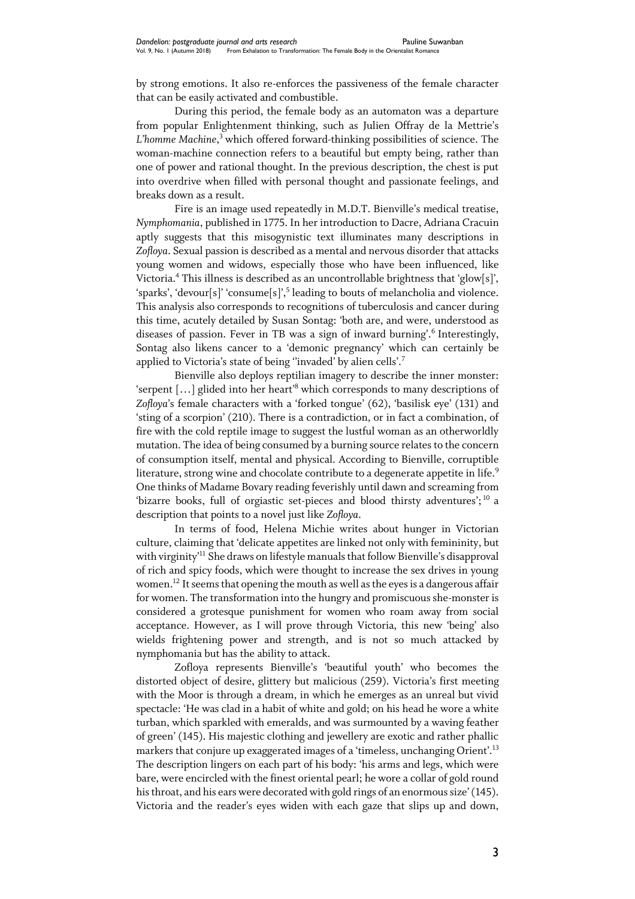by strong emotions. It also re-enforces the passiveness of the female character that can be easily activated and combustible.

During this period, the female body as an automaton was a departure from popular Enlightenment thinking, such as Julien Offray de la Mettrie's *L'homme Machine*, <sup>3</sup> which offered forward-thinking possibilities of science. The woman-machine connection refers to a beautiful but empty being, rather than one of power and rational thought. In the previous description, the chest is put into overdrive when filled with personal thought and passionate feelings, and breaks down as a result.

Fire is an image used repeatedly in M.D.T. Bienville's medical treatise, *Nymphomania*, published in 1775. In her introduction to Dacre, Adriana Cracuin aptly suggests that this misogynistic text illuminates many descriptions in *Zofloya*. Sexual passion is described as a mental and nervous disorder that attacks young women and widows, especially those who have been influenced, like Victoria.<sup>4</sup> This illness is described as an uncontrollable brightness that 'glow[s]', 'sparks', 'devour[s]' 'consume[s]', 5 leading to bouts of melancholia and violence. This analysis also corresponds to recognitions of tuberculosis and cancer during this time, acutely detailed by Susan Sontag: 'both are, and were, understood as diseases of passion. Fever in TB was a sign of inward burning'.<sup>6</sup> Interestingly, Sontag also likens cancer to a 'demonic pregnancy' which can certainly be applied to Victoria's state of being "invaded" by alien cells'.<sup>7</sup>

Bienville also deploys reptilian imagery to describe the inner monster: 'serpent […] glided into her heart'<sup>8</sup> which corresponds to many descriptions of *Zofloya*'s female characters with a 'forked tongue' (62), 'basilisk eye' (131) and 'sting of a scorpion' (210). There is a contradiction, or in fact a combination, of fire with the cold reptile image to suggest the lustful woman as an otherworldly mutation. The idea of being consumed by a burning source relates to the concern of consumption itself, mental and physical. According to Bienville, corruptible literature, strong wine and chocolate contribute to a degenerate appetite in life.<sup>9</sup> One thinks of Madame Bovary reading feverishly until dawn and screaming from 'bizarre books, full of orgiastic set-pieces and blood thirsty adventures';  $^{10}$  a description that points to a novel just like *Zofloya*.

In terms of food, Helena Michie writes about hunger in Victorian culture, claiming that 'delicate appetites are linked not only with femininity, but with virginity'<sup>11</sup> She draws on lifestyle manuals that follow Bienville's disapproval of rich and spicy foods, which were thought to increase the sex drives in young women.<sup>12</sup> It seems that opening the mouth as well as the eyes is a dangerous affair for women. The transformation into the hungry and promiscuous she-monster is considered a grotesque punishment for women who roam away from social acceptance. However, as I will prove through Victoria, this new 'being' also wields frightening power and strength, and is not so much attacked by nymphomania but has the ability to attack.

Zofloya represents Bienville's 'beautiful youth' who becomes the distorted object of desire, glittery but malicious (259). Victoria's first meeting with the Moor is through a dream, in which he emerges as an unreal but vivid spectacle: 'He was clad in a habit of white and gold; on his head he wore a white turban, which sparkled with emeralds, and was surmounted by a waving feather of green' (145). His majestic clothing and jewellery are exotic and rather phallic markers that conjure up exaggerated images of a 'timeless, unchanging Orient'.  $^{\rm 13}$ The description lingers on each part of his body: 'his arms and legs, which were bare, were encircled with the finest oriental pearl; he wore a collar of gold round his throat, and his ears were decorated with gold rings of an enormous size' (145). Victoria and the reader's eyes widen with each gaze that slips up and down,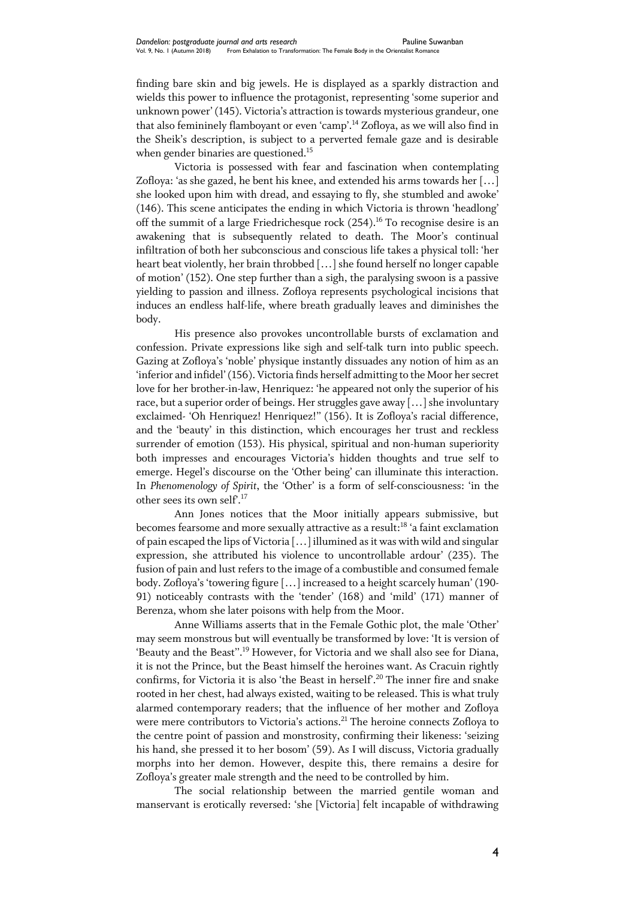finding bare skin and big jewels. He is displayed as a sparkly distraction and wields this power to influence the protagonist, representing 'some superior and unknown power' (145). Victoria's attraction is towards mysterious grandeur, one that also femininely flamboyant or even 'camp'. <sup>14</sup> Zofloya, as we will also find in the Sheik's description, is subject to a perverted female gaze and is desirable when gender binaries are questioned.<sup>15</sup>

Victoria is possessed with fear and fascination when contemplating Zofloya: 'as she gazed, he bent his knee, and extended his arms towards her […] she looked upon him with dread, and essaying to fly, she stumbled and awoke' (146). This scene anticipates the ending in which Victoria is thrown 'headlong' off the summit of a large Friedrichesque rock  $(254).$ <sup>16</sup> To recognise desire is an awakening that is subsequently related to death. The Moor's continual infiltration of both her subconscious and conscious life takes a physical toll: 'her heart beat violently, her brain throbbed […] she found herself no longer capable of motion' (152). One step further than a sigh, the paralysing swoon is a passive yielding to passion and illness. Zofloya represents psychological incisions that induces an endless half-life, where breath gradually leaves and diminishes the body.

His presence also provokes uncontrollable bursts of exclamation and confession. Private expressions like sigh and self-talk turn into public speech. Gazing at Zofloya's 'noble' physique instantly dissuades any notion of him as an 'inferior and infidel' (156). Victoria finds herself admitting to the Moor her secret love for her brother-in-law, Henriquez: 'he appeared not only the superior of his race, but a superior order of beings. Her struggles gave away […] she involuntary exclaimed- 'Oh Henriquez! Henriquez!'' (156). It is Zofloya's racial difference, and the 'beauty' in this distinction, which encourages her trust and reckless surrender of emotion (153). His physical, spiritual and non-human superiority both impresses and encourages Victoria's hidden thoughts and true self to emerge. Hegel's discourse on the 'Other being' can illuminate this interaction. In *Phenomenology of Spirit*, the 'Other' is a form of self-consciousness: 'in the other sees its own self'.<sup>17</sup>

Ann Jones notices that the Moor initially appears submissive, but becomes fearsome and more sexually attractive as a result: <sup>18</sup> 'a faint exclamation of pain escaped the lips of Victoria […] illumined as it was with wild and singular expression, she attributed his violence to uncontrollable ardour' (235). The fusion of pain and lust refers to the image of a combustible and consumed female body. Zofloya's 'towering figure […] increased to a height scarcely human' (190- 91) noticeably contrasts with the 'tender' (168) and 'mild' (171) manner of Berenza, whom she later poisons with help from the Moor.

Anne Williams asserts that in the Female Gothic plot, the male 'Other' may seem monstrous but will eventually be transformed by love: 'It is version of 'Beauty and the Beast".<sup>19</sup> However, for Victoria and we shall also see for Diana, it is not the Prince, but the Beast himself the heroines want. As Cracuin rightly confirms, for Victoria it is also 'the Beast in herself'. <sup>20</sup> The inner fire and snake rooted in her chest, had always existed, waiting to be released. This is what truly alarmed contemporary readers; that the influence of her mother and Zofloya were mere contributors to Victoria's actions. <sup>21</sup> The heroine connects Zofloya to the centre point of passion and monstrosity, confirming their likeness: 'seizing his hand, she pressed it to her bosom' (59). As I will discuss, Victoria gradually morphs into her demon. However, despite this, there remains a desire for Zofloya's greater male strength and the need to be controlled by him.

The social relationship between the married gentile woman and manservant is erotically reversed: 'she [Victoria] felt incapable of withdrawing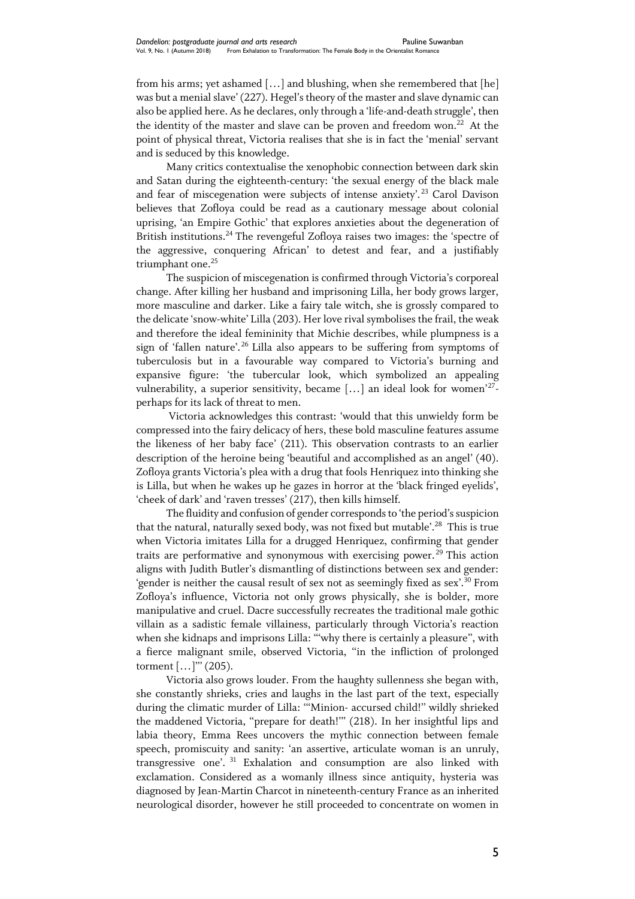from his arms; yet ashamed […] and blushing, when she remembered that [he] was but a menial slave' (227). Hegel's theory of the master and slave dynamic can also be applied here. As he declares, only through a 'life-and-death struggle', then the identity of the master and slave can be proven and freedom won. $^{22}$  At the point of physical threat, Victoria realises that she is in fact the 'menial' servant and is seduced by this knowledge.

Many critics contextualise the xenophobic connection between dark skin and Satan during the eighteenth-century: 'the sexual energy of the black male and fear of miscegenation were subjects of intense anxiety'.<sup>23</sup> Carol Davison believes that Zofloya could be read as a cautionary message about colonial uprising, 'an Empire Gothic' that explores anxieties about the degeneration of British institutions.<sup>24</sup> The revengeful Zofloya raises two images: the 'spectre of the aggressive, conquering African' to detest and fear, and a justifiably triumphant one.<sup>25</sup>

The suspicion of miscegenation is confirmed through Victoria's corporeal change. After killing her husband and imprisoning Lilla, her body grows larger, more masculine and darker. Like a fairy tale witch, she is grossly compared to the delicate 'snow-white' Lilla (203). Her love rival symbolises the frail, the weak and therefore the ideal femininity that Michie describes, while plumpness is a sign of 'fallen nature'.<sup>26</sup> Lilla also appears to be suffering from symptoms of tuberculosis but in a favourable way compared to Victoria's burning and expansive figure: 'the tubercular look, which symbolized an appealing vulnerability, a superior sensitivity, became [...] an ideal look for women'<sup>27</sup>perhaps for its lack of threat to men.

Victoria acknowledges this contrast: 'would that this unwieldy form be compressed into the fairy delicacy of hers, these bold masculine features assume the likeness of her baby face' (211). This observation contrasts to an earlier description of the heroine being 'beautiful and accomplished as an angel' (40). Zofloya grants Victoria's plea with a drug that fools Henriquez into thinking she is Lilla, but when he wakes up he gazes in horror at the 'black fringed eyelids', 'cheek of dark' and 'raven tresses' (217), then kills himself.

The fluidity and confusion of gender corresponds to 'the period's suspicion that the natural, naturally sexed body, was not fixed but mutable'.<sup>28</sup> This is true when Victoria imitates Lilla for a drugged Henriquez, confirming that gender traits are performative and synonymous with exercising power.<sup>29</sup> This action aligns with Judith Butler's dismantling of distinctions between sex and gender: 'gender is neither the causal result of sex not as seemingly fixed as sex'.<sup>30</sup> From Zofloya's influence, Victoria not only grows physically, she is bolder, more manipulative and cruel. Dacre successfully recreates the traditional male gothic villain as a sadistic female villainess, particularly through Victoria's reaction when she kidnaps and imprisons Lilla: ""why there is certainly a pleasure", with a fierce malignant smile, observed Victoria, ''in the infliction of prolonged torment  $[...]$ "' (205).

Victoria also grows louder. From the haughty sullenness she began with, she constantly shrieks, cries and laughs in the last part of the text, especially during the climatic murder of Lilla: '''Minion- accursed child!'' wildly shrieked the maddened Victoria, ''prepare for death!''' (218). In her insightful lips and labia theory, Emma Rees uncovers the mythic connection between female speech, promiscuity and sanity: 'an assertive, articulate woman is an unruly, transgressive one'. <sup>31</sup> Exhalation and consumption are also linked with exclamation. Considered as a womanly illness since antiquity, hysteria was diagnosed by Jean-Martin Charcot in nineteenth-century France as an inherited neurological disorder, however he still proceeded to concentrate on women in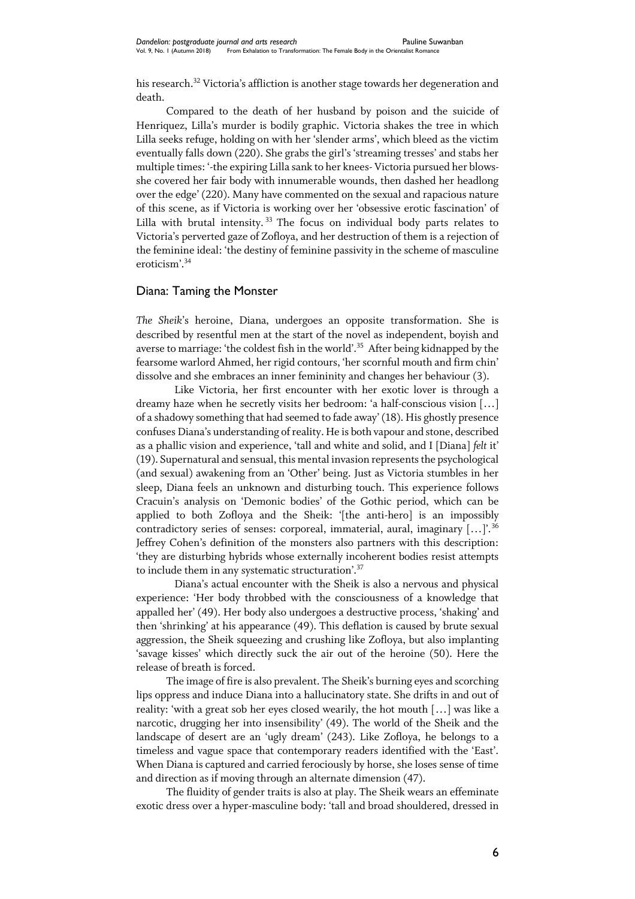his research.<sup>32</sup> Victoria's affliction is another stage towards her degeneration and death.

Compared to the death of her husband by poison and the suicide of Henriquez, Lilla's murder is bodily graphic. Victoria shakes the tree in which Lilla seeks refuge, holding on with her 'slender arms', which bleed as the victim eventually falls down (220). She grabs the girl's 'streaming tresses' and stabs her multiple times: '-the expiring Lilla sank to her knees- Victoria pursued her blowsshe covered her fair body with innumerable wounds, then dashed her headlong over the edge' (220). Many have commented on the sexual and rapacious nature of this scene, as if Victoria is working over her 'obsessive erotic fascination' of Lilla with brutal intensity.  $33$  The focus on individual body parts relates to Victoria's perverted gaze of Zofloya, and her destruction of them is a rejection of the feminine ideal: 'the destiny of feminine passivity in the scheme of masculine eroticism'.<sup>34</sup>

#### Diana: Taming the Monster

*The Sheik*'s heroine, Diana, undergoes an opposite transformation. She is described by resentful men at the start of the novel as independent, boyish and averse to marriage: 'the coldest fish in the world'.<sup>35</sup> After being kidnapped by the fearsome warlord Ahmed, her rigid contours, 'her scornful mouth and firm chin' dissolve and she embraces an inner femininity and changes her behaviour (3).

Like Victoria, her first encounter with her exotic lover is through a dreamy haze when he secretly visits her bedroom: 'a half-conscious vision […] of a shadowy something that had seemed to fade away' (18). His ghostly presence confuses Diana's understanding of reality. He is both vapour and stone, described as a phallic vision and experience, 'tall and white and solid, and I [Diana] *felt* it' (19). Supernatural and sensual, this mental invasion represents the psychological (and sexual) awakening from an 'Other' being. Just as Victoria stumbles in her sleep, Diana feels an unknown and disturbing touch. This experience follows Cracuin's analysis on 'Demonic bodies' of the Gothic period, which can be applied to both Zofloya and the Sheik: '[the anti-hero] is an impossibly contradictory series of senses: corporeal, immaterial, aural, imaginary […]'.<sup>36</sup> Jeffrey Cohen's definition of the monsters also partners with this description: 'they are disturbing hybrids whose externally incoherent bodies resist attempts to include them in any systematic structuration'.<sup>37</sup>

Diana's actual encounter with the Sheik is also a nervous and physical experience: 'Her body throbbed with the consciousness of a knowledge that appalled her' (49). Her body also undergoes a destructive process, 'shaking' and then 'shrinking' at his appearance (49). This deflation is caused by brute sexual aggression, the Sheik squeezing and crushing like Zofloya, but also implanting 'savage kisses' which directly suck the air out of the heroine (50). Here the release of breath is forced.

The image of fire is also prevalent. The Sheik's burning eyes and scorching lips oppress and induce Diana into a hallucinatory state. She drifts in and out of reality: 'with a great sob her eyes closed wearily, the hot mouth […] was like a narcotic, drugging her into insensibility' (49). The world of the Sheik and the landscape of desert are an 'ugly dream' (243). Like Zofloya, he belongs to a timeless and vague space that contemporary readers identified with the 'East'. When Diana is captured and carried ferociously by horse, she loses sense of time and direction as if moving through an alternate dimension (47).

The fluidity of gender traits is also at play. The Sheik wears an effeminate exotic dress over a hyper-masculine body: 'tall and broad shouldered, dressed in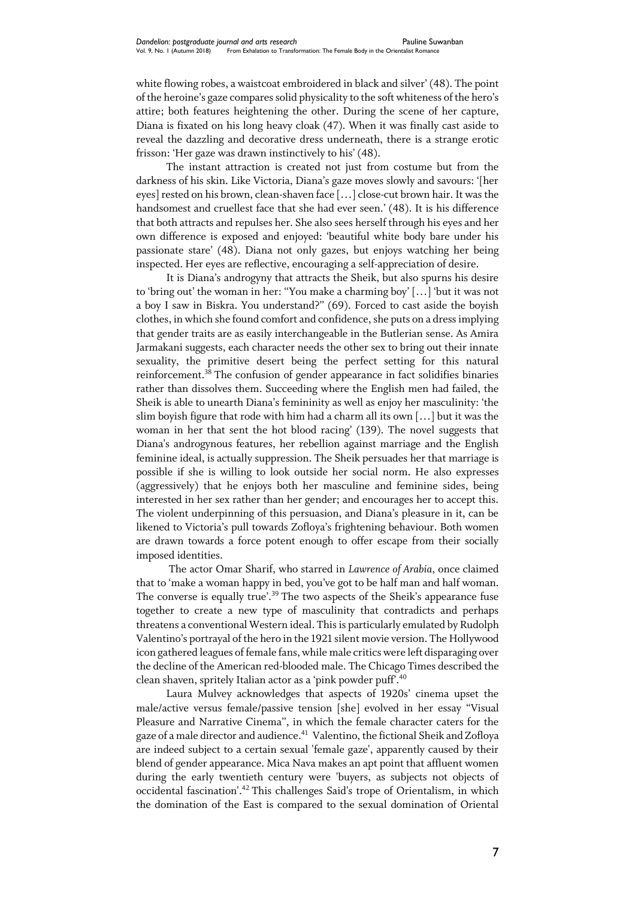white flowing robes, a waistcoat embroidered in black and silver' (48). The point of the heroine's gaze compares solid physicality to the soft whiteness of the hero's attire; both features heightening the other. During the scene of her capture, Diana is fixated on his long heavy cloak (47). When it was finally cast aside to reveal the dazzling and decorative dress underneath, there is a strange erotic frisson: 'Her gaze was drawn instinctively to his' (48).

The instant attraction is created not just from costume but from the darkness of his skin. Like Victoria, Diana's gaze moves slowly and savours: '[her eyes] rested on his brown, clean-shaven face […] close-cut brown hair. It was the handsomest and cruellest face that she had ever seen.' (48). It is his difference that both attracts and repulses her. She also sees herself through his eyes and her own difference is exposed and enjoyed: 'beautiful white body bare under his passionate stare' (48). Diana not only gazes, but enjoys watching her being inspected. Her eyes are reflective, encouraging a self-appreciation of desire.

It is Diana's androgyny that attracts the Sheik, but also spurns his desire to 'bring out' the woman in her: ''You make a charming boy' […] 'but it was not a boy I saw in Biskra. You understand?'' (69). Forced to cast aside the boyish clothes, in which she found comfort and confidence, she puts on a dress implying that gender traits are as easily interchangeable in the Butlerian sense. As Amira Jarmakani suggests, each character needs the other sex to bring out their innate sexuality, the primitive desert being the perfect setting for this natural reinforcement.<sup>38</sup> The confusion of gender appearance in fact solidifies binaries rather than dissolves them. Succeeding where the English men had failed, the Sheik is able to unearth Diana's femininity as well as enjoy her masculinity: 'the slim boyish figure that rode with him had a charm all its own […] but it was the woman in her that sent the hot blood racing' (139). The novel suggests that Diana's androgynous features, her rebellion against marriage and the English feminine ideal, is actually suppression. The Sheik persuades her that marriage is possible if she is willing to look outside her social norm. He also expresses (aggressively) that he enjoys both her masculine and feminine sides, being interested in her sex rather than her gender; and encourages her to accept this. The violent underpinning of this persuasion, and Diana's pleasure in it, can be likened to Victoria's pull towards Zofloya's frightening behaviour. Both women are drawn towards a force potent enough to offer escape from their socially imposed identities.

The actor Omar Sharif, who starred in *Lawrence of Arabia*, once claimed that to 'make a woman happy in bed, you've got to be half man and half woman. The converse is equally true'.<sup>39</sup> The two aspects of the Sheik's appearance fuse together to create a new type of masculinity that contradicts and perhaps threatens a conventional Western ideal. This is particularly emulated by Rudolph Valentino's portrayal of the hero in the 1921 silent movie version. The Hollywood icon gathered leagues of female fans, while male critics were left disparaging over the decline of the American red-blooded male. The Chicago Times described the clean shaven, spritely Italian actor as a 'pink powder puff'.<sup>40</sup>

Laura Mulvey acknowledges that aspects of 1920s' cinema upset the male/active versus female/passive tension [she] evolved in her essay "Visual Pleasure and Narrative Cinema'', in which the female character caters for the gaze of a male director and audience.<sup>41</sup> Valentino, the fictional Sheik and Zofloya are indeed subject to a certain sexual 'female gaze', apparently caused by their blend of gender appearance. Mica Nava makes an apt point that affluent women during the early twentieth century were 'buyers, as subjects not objects of occidental fascination'.<sup>42</sup> This challenges Said's trope of Orientalism, in which the domination of the East is compared to the sexual domination of Oriental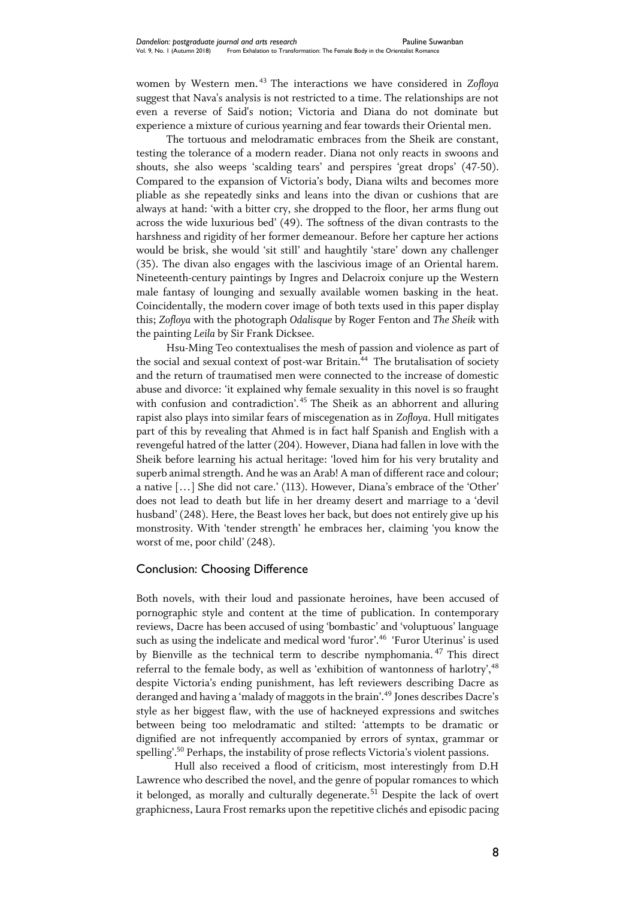women by Western men. <sup>43</sup> The interactions we have considered in *Zofloya* suggest that Nava's analysis is not restricted to a time. The relationships are not even a reverse of Said's notion; Victoria and Diana do not dominate but experience a mixture of curious yearning and fear towards their Oriental men.

The tortuous and melodramatic embraces from the Sheik are constant, testing the tolerance of a modern reader. Diana not only reacts in swoons and shouts, she also weeps 'scalding tears' and perspires 'great drops' (47-50). Compared to the expansion of Victoria's body, Diana wilts and becomes more pliable as she repeatedly sinks and leans into the divan or cushions that are always at hand: 'with a bitter cry, she dropped to the floor, her arms flung out across the wide luxurious bed' (49). The softness of the divan contrasts to the harshness and rigidity of her former demeanour. Before her capture her actions would be brisk, she would 'sit still' and haughtily 'stare' down any challenger (35). The divan also engages with the lascivious image of an Oriental harem. Nineteenth-century paintings by Ingres and Delacroix conjure up the Western male fantasy of lounging and sexually available women basking in the heat. Coincidentally, the modern cover image of both texts used in this paper display this; *Zofloya* with the photograph *Odalisque* by Roger Fenton and *The Sheik* with the painting *Leila* by Sir Frank Dicksee.

Hsu-Ming Teo contextualises the mesh of passion and violence as part of the social and sexual context of post-war Britain.<sup>44</sup> The brutalisation of society and the return of traumatised men were connected to the increase of domestic abuse and divorce: 'it explained why female sexuality in this novel is so fraught with confusion and contradiction'.<sup>45</sup> The Sheik as an abhorrent and alluring rapist also plays into similar fears of miscegenation as in *Zofloya*. Hull mitigates part of this by revealing that Ahmed is in fact half Spanish and English with a revengeful hatred of the latter (204). However, Diana had fallen in love with the Sheik before learning his actual heritage: 'loved him for his very brutality and superb animal strength. And he was an Arab! A man of different race and colour; a native […] She did not care.' (113). However, Diana's embrace of the 'Other' does not lead to death but life in her dreamy desert and marriage to a 'devil husband' (248). Here, the Beast loves her back, but does not entirely give up his monstrosity. With 'tender strength' he embraces her, claiming 'you know the worst of me, poor child' (248).

## Conclusion: Choosing Difference

Both novels, with their loud and passionate heroines, have been accused of pornographic style and content at the time of publication. In contemporary reviews, Dacre has been accused of using 'bombastic' and 'voluptuous' language such as using the indelicate and medical word 'furor'.<sup>46</sup> 'Furor Uterinus' is used by Bienville as the technical term to describe nymphomania. <sup>47</sup> This direct referral to the female body, as well as 'exhibition of wantonness of harlotry',<sup>48</sup> despite Victoria's ending punishment, has left reviewers describing Dacre as deranged and having a 'malady of maggots in the brain'.<sup>49</sup> Jones describes Dacre's style as her biggest flaw, with the use of hackneyed expressions and switches between being too melodramatic and stilted: 'attempts to be dramatic or dignified are not infrequently accompanied by errors of syntax, grammar or spelling'.<sup>50</sup> Perhaps, the instability of prose reflects Victoria's violent passions.

Hull also received a flood of criticism, most interestingly from D.H Lawrence who described the novel, and the genre of popular romances to which it belonged, as morally and culturally degenerate.<sup>51</sup> Despite the lack of overt graphicness, Laura Frost remarks upon the repetitive clichés and episodic pacing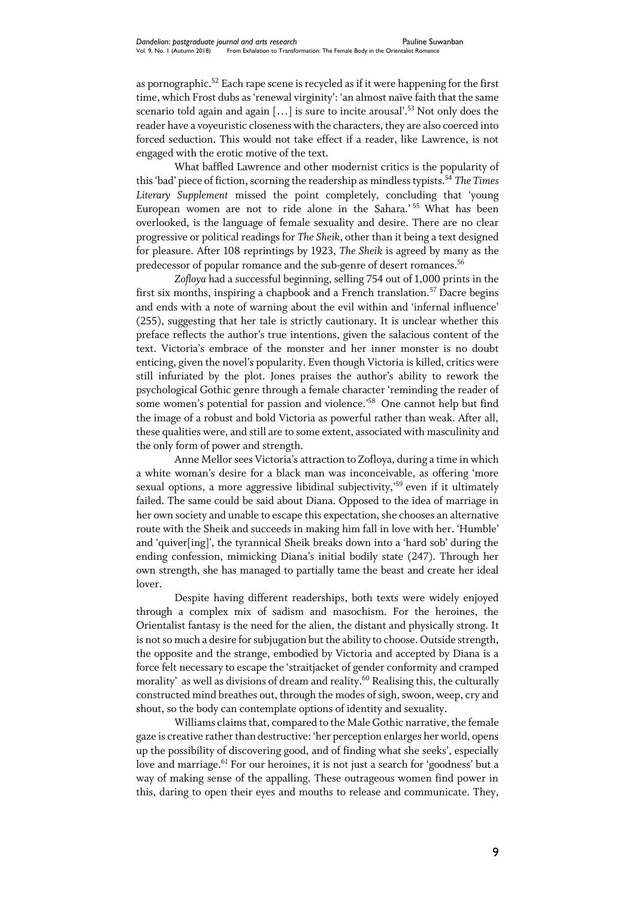as pornographic.<sup>52</sup> Each rape scene is recycled as if it were happening for the first time, which Frost dubs as 'renewal virginity': 'an almost naïve faith that the same scenario told again and again [...] is sure to incite arousal'.<sup>53</sup> Not only does the reader have a voyeuristic closeness with the characters, they are also coerced into forced seduction. This would not take effect if a reader, like Lawrence, is not engaged with the erotic motive of the text.

What baffled Lawrence and other modernist critics is the popularity of this 'bad' piece of fiction, scorning the readership as mindless typists.<sup>54</sup> *The Times Literary Supplement* missed the point completely, concluding that 'young European women are not to ride alone in the Sahara.' <sup>55</sup> What has been overlooked, is the language of female sexuality and desire. There are no clear progressive or political readings for *The Sheik*, other than it being a text designed for pleasure. After 108 reprintings by 1923, *The Sheik* is agreed by many as the predecessor of popular romance and the sub-genre of desert romances. $^{56}$ 

*Zofloya* had a successful beginning, selling 754 out of 1,000 prints in the first six months, inspiring a chapbook and a French translation.<sup>57</sup> Dacre begins and ends with a note of warning about the evil within and 'infernal influence' (255), suggesting that her tale is strictly cautionary. It is unclear whether this preface reflects the author's true intentions, given the salacious content of the text. Victoria's embrace of the monster and her inner monster is no doubt enticing, given the novel's popularity. Even though Victoria is killed, critics were still infuriated by the plot. Jones praises the author's ability to rework the psychological Gothic genre through a female character 'reminding the reader of some women's potential for passion and violence.<sup>58</sup> One cannot help but find the image of a robust and bold Victoria as powerful rather than weak. After all, these qualities were, and still are to some extent, associated with masculinity and the only form of power and strength.

Anne Mellor sees Victoria's attraction to Zofloya, during a time in which a white woman's desire for a black man was inconceivable, as offering 'more sexual options, a more aggressive libidinal subjectivity,<sup>59</sup> even if it ultimately failed. The same could be said about Diana. Opposed to the idea of marriage in her own society and unable to escape this expectation, she chooses an alternative route with the Sheik and succeeds in making him fall in love with her. 'Humble' and 'quiver[ing]', the tyrannical Sheik breaks down into a 'hard sob' during the ending confession, mimicking Diana's initial bodily state (247). Through her own strength, she has managed to partially tame the beast and create her ideal lover.

Despite having different readerships, both texts were widely enjoyed through a complex mix of sadism and masochism. For the heroines, the Orientalist fantasy is the need for the alien, the distant and physically strong. It is not so much a desire for subjugation but the ability to choose. Outside strength, the opposite and the strange, embodied by Victoria and accepted by Diana is a force felt necessary to escape the 'straitjacket of gender conformity and cramped morality' as well as divisions of dream and reality. <sup>60</sup> Realising this, the culturally constructed mind breathes out, through the modes of sigh, swoon, weep, cry and shout, so the body can contemplate options of identity and sexuality.

Williams claims that, compared to the Male Gothic narrative, the female gaze is creative rather than destructive: 'her perception enlarges her world, opens up the possibility of discovering good, and of finding what she seeks', especially love and marriage.<sup>61</sup> For our heroines, it is not just a search for 'goodness' but a way of making sense of the appalling. These outrageous women find power in this, daring to open their eyes and mouths to release and communicate. They,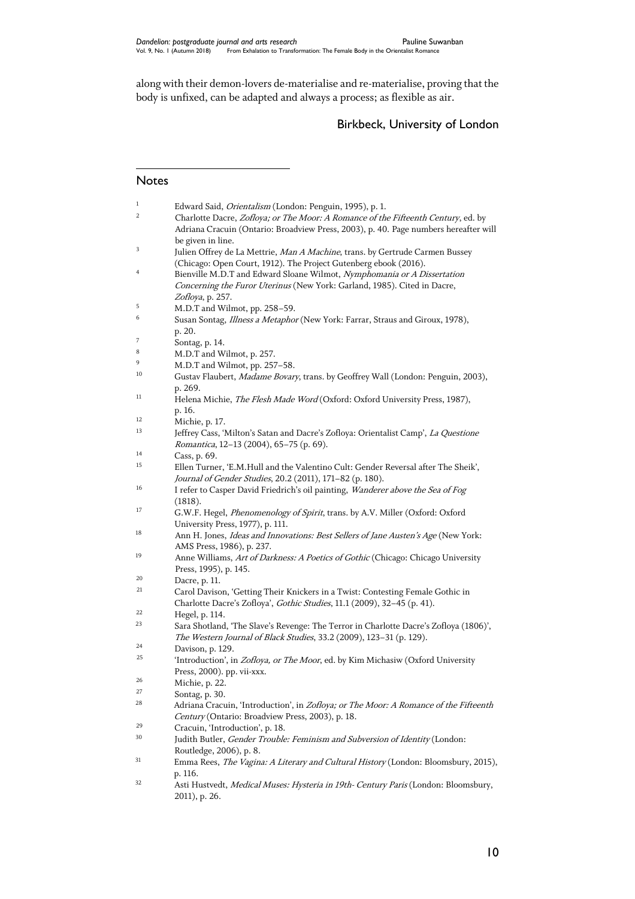along with their demon-lovers de-materialise and re-materialise, proving that the body is unfixed, can be adapted and always a process; as flexible as air.

# Birkbeck, University of London

#### Notes

 $\overline{a}$ 

| $\mathbf{1}$ | Edward Said, Orientalism (London: Penguin, 1995), p. 1.                                  |
|--------------|------------------------------------------------------------------------------------------|
| 2            | Charlotte Dacre, Zofloya; or The Moor: A Romance of the Fifteenth Century, ed. by        |
|              | Adriana Cracuin (Ontario: Broadview Press, 2003), p. 40. Page numbers hereafter will     |
|              | be given in line.                                                                        |
| 3            | Julien Offrey de La Mettrie, Man A Machine, trans. by Gertrude Carmen Bussey             |
|              |                                                                                          |
|              | (Chicago: Open Court, 1912). The Project Gutenberg ebook (2016).                         |
| 4            | Bienville M.D.T and Edward Sloane Wilmot, Nymphomania or A Dissertation                  |
|              | Concerning the Furor Uterinus (New York: Garland, 1985). Cited in Dacre,                 |
|              | Zofloya, p. 257.                                                                         |
| 5            | M.D.T and Wilmot, pp. 258-59.                                                            |
| 6            | Susan Sontag, <i>Illness a Metaphor</i> (New York: Farrar, Straus and Giroux, 1978),     |
|              | p. 20.                                                                                   |
| 7            |                                                                                          |
| 8            | Sontag, p. 14.                                                                           |
| 9            | M.D.T and Wilmot, p. 257.                                                                |
|              | M.D.T and Wilmot, pp. 257-58.                                                            |
| 10           | Gustav Flaubert, Madame Bovary, trans. by Geoffrey Wall (London: Penguin, 2003),         |
|              | p. 269.                                                                                  |
| 11           | Helena Michie, The Flesh Made Word (Oxford: Oxford University Press, 1987),              |
|              | p. 16.                                                                                   |
| 12           | Michie, p. 17.                                                                           |
| 13           | Jeffrey Cass, 'Milton's Satan and Dacre's Zofloya: Orientalist Camp', La Questione       |
|              |                                                                                          |
| 14           | Romantica, 12-13 (2004), 65-75 (p. 69).                                                  |
|              | Cass, p. 69.                                                                             |
| 15           | Ellen Turner, 'E.M.Hull and the Valentino Cult: Gender Reversal after The Sheik',        |
|              | Journal of Gender Studies, 20.2 (2011), 171-82 (p. 180).                                 |
| 16           | I refer to Casper David Friedrich's oil painting, Wanderer above the Sea of Fog          |
|              | (1818).                                                                                  |
| 17           | G.W.F. Hegel, <i>Phenomenology of Spirit</i> , trans. by A.V. Miller (Oxford: Oxford     |
|              | University Press, 1977), p. 111.                                                         |
| 18           | Ann H. Jones, <i>Ideas and Innovations: Best Sellers of Jane Austen's Age</i> (New York: |
|              | AMS Press, 1986), p. 237.                                                                |
| 19           |                                                                                          |
|              | Anne Williams, Art of Darkness: A Poetics of Gothic (Chicago: Chicago University         |
|              | Press, 1995), p. 145.                                                                    |
| 20           | Dacre, p. 11.                                                                            |
| 21           | Carol Davison, 'Getting Their Knickers in a Twist: Contesting Female Gothic in           |
|              | Charlotte Dacre's Zofloya', Gothic Studies, 11.1 (2009), 32-45 (p. 41).                  |
| 22           | Hegel, p. 114.                                                                           |
| 23           | Sara Shotland, 'The Slave's Revenge: The Terror in Charlotte Dacre's Zofloya (1806)',    |
|              | The Western Journal of Black Studies, 33.2 (2009), 123-31 (p. 129).                      |
| 24           | Davison, p. 129.                                                                         |
| 25           | 'Introduction', in Zofloya, or The Moor, ed. by Kim Michasiw (Oxford University          |
|              |                                                                                          |
| 26           | Press, 2000). pp. vii-xxx.                                                               |
|              | Michie, p. 22.                                                                           |
| 27           | Sontag, p. 30.                                                                           |
| 28           | Adriana Cracuin, 'Introduction', in Zofloya; or The Moor: A Romance of the Fifteenth     |
|              | Century (Ontario: Broadview Press, 2003), p. 18.                                         |
| 29           | Cracuin, 'Introduction', p. 18.                                                          |
| 30           | Judith Butler, Gender Trouble: Feminism and Subversion of Identity (London:              |
|              | Routledge, 2006), p. 8.                                                                  |
| 31           | Emma Rees, The Vagina: A Literary and Cultural History (London: Bloomsbury, 2015),       |
|              | p. 116.                                                                                  |
| 32           |                                                                                          |
|              | Asti Hustvedt, Medical Muses: Hysteria in 19th- Century Paris (London: Bloomsbury,       |
|              | 2011), p. 26.                                                                            |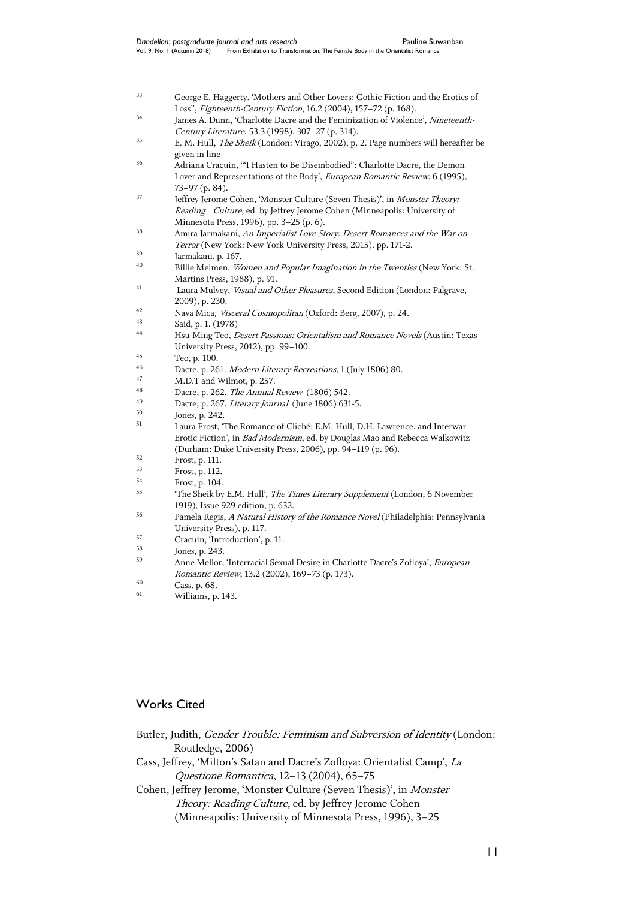| 33 | George E. Haggerty, 'Mothers and Other Lovers: Gothic Fiction and the Erotics of          |
|----|-------------------------------------------------------------------------------------------|
|    | Loss", Eighteenth-Century Fiction, 16.2 (2004), 157-72 (p. 168).                          |
| 34 | James A. Dunn, 'Charlotte Dacre and the Feminization of Violence', Nineteenth-            |
|    | Century Literature, 53.3 (1998), 307-27 (p. 314).                                         |
| 35 | E. M. Hull, <i>The Sheik</i> (London: Virago, 2002), p. 2. Page numbers will hereafter be |
|    | given in line                                                                             |
| 36 | Adriana Cracuin, "I Hasten to Be Disembodied": Charlotte Dacre, the Demon                 |
|    | Lover and Representations of the Body', European Romantic Review, 6 (1995),               |
|    | $73-97$ (p. 84).                                                                          |
| 37 | Jeffrey Jerome Cohen, 'Monster Culture (Seven Thesis)', in Monster Theory:                |
|    | Reading Culture, ed. by Jeffrey Jerome Cohen (Minneapolis: University of                  |
|    | Minnesota Press, 1996), pp. 3-25 (p. 6).                                                  |
| 38 | Amira Jarmakani, An Imperialist Love Story: Desert Romances and the War on                |
|    | Terror (New York: New York University Press, 2015). pp. 171-2.                            |
| 39 | Jarmakani, p. 167.                                                                        |
| 40 | Billie Melmen, Women and Popular Imagination in the Twenties (New York: St.               |
|    | Martins Press, 1988), p. 91.                                                              |
| 41 | Laura Mulvey, Visual and Other Pleasures, Second Edition (London: Palgrave,               |
|    | 2009), p. 230.                                                                            |
| 42 | Nava Mica, Visceral Cosmopolitan (Oxford: Berg, 2007), p. 24.                             |
| 43 | Said, p. 1. (1978)                                                                        |
| 44 | Hsu-Ming Teo, Desert Passions: Orientalism and Romance Novels (Austin: Texas              |
|    | University Press, 2012), pp. 99-100.                                                      |
| 45 | Teo, p. 100.                                                                              |
| 46 | Dacre, p. 261. Modern Literary Recreations, 1 (July 1806) 80.                             |
| 47 | M.D.T and Wilmot, p. 257.                                                                 |
| 48 | Dacre, p. 262. <i>The Annual Review</i> (1806) 542.                                       |
| 49 | Dacre, p. 267. Literary Journal (June 1806) 631-5.                                        |
| 50 | Jones, p. 242.                                                                            |
| 51 | Laura Frost, 'The Romance of Cliché: E.M. Hull, D.H. Lawrence, and Interwar               |
|    | Erotic Fiction', in Bad Modernism, ed. by Douglas Mao and Rebecca Walkowitz               |
|    | (Durham: Duke University Press, 2006), pp. 94-119 (p. 96).                                |
| 52 | Frost, p. 111.                                                                            |
| 53 | Frost, p. 112.                                                                            |
| 54 | Frost, p. 104.                                                                            |
| 55 | 'The Sheik by E.M. Hull', The Times Literary Supplement (London, 6 November               |
|    | 1919), Issue 929 edition, p. 632.                                                         |
| 56 | Pamela Regis, A Natural History of the Romance Novel (Philadelphia: Pennsylvania          |
|    | University Press), p. 117.                                                                |
| 57 | Cracuin, 'Introduction', p. 11.                                                           |
| 58 | Jones, p. 243.                                                                            |
| 59 | Anne Mellor, 'Interracial Sexual Desire in Charlotte Dacre's Zofloya', European           |
|    | Romantic Review, 13.2 (2002), 169-73 (p. 173).                                            |
| 60 | Cass, p. 68.                                                                              |
|    |                                                                                           |

<sup>61</sup> Williams, p. 143.

# Works Cited

| Butler, Judith, <i>Gender Trouble: Feminism and Subversion of Identity</i> (London: |  |
|-------------------------------------------------------------------------------------|--|
| Routledge, 2006)                                                                    |  |
| Cass, Jeffrey, 'Milton's Satan and Dacre's Zofloya: Orientalist Camp', La           |  |
| Questione Romantica, 12-13 (2004), 65-75                                            |  |
| Cohen, Jeffrey Jerome, 'Monster Culture (Seven Thesis)', in <i>Monster</i>          |  |
| Theory: Reading Culture, ed. by Jeffrey Jerome Cohen                                |  |
| (Minneapolis: University of Minnesota Press, 1996), 3-25                            |  |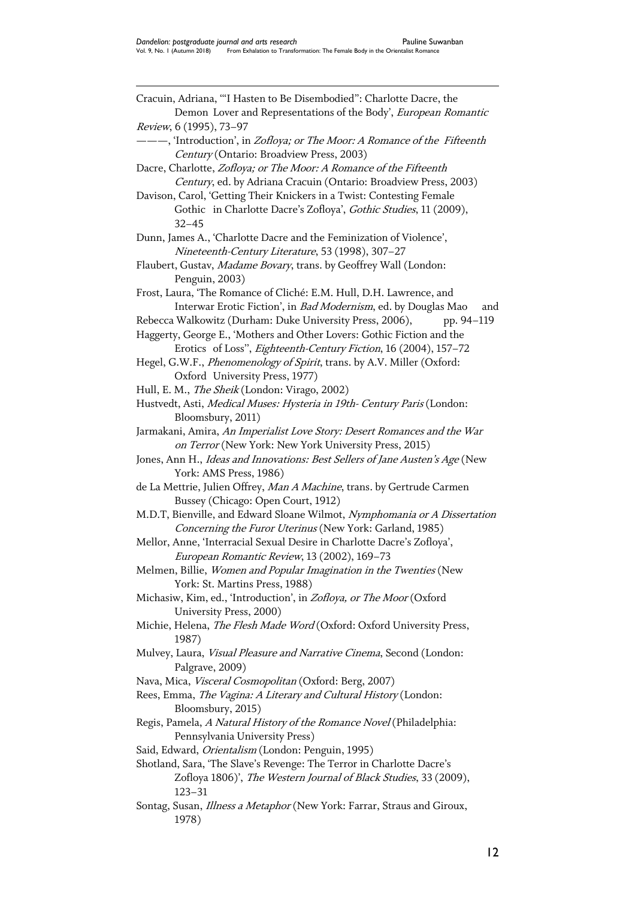$\overline{a}$ Cracuin, Adriana, '"I Hasten to Be Disembodied": Charlotte Dacre, the Demon Lover and Representations of the Body', European Romantic Review, 6 (1995), 73–97 ———, 'Introduction', in Zofloya; or The Moor: A Romance of the Fifteenth Century (Ontario: Broadview Press, 2003) Dacre, Charlotte, Zofloya; or The Moor: A Romance of the Fifteenth Century, ed. by Adriana Cracuin (Ontario: Broadview Press, 2003) Davison, Carol, 'Getting Their Knickers in a Twist: Contesting Female Gothic in Charlotte Dacre's Zofloya', Gothic Studies, 11 (2009), 32–45 Dunn, James A., 'Charlotte Dacre and the Feminization of Violence', Nineteenth-Century Literature, 53 (1998), 307–27 Flaubert, Gustav, Madame Bovary, trans. by Geoffrey Wall (London: Penguin, 2003) Frost, Laura, 'The Romance of Cliché: E.M. Hull, D.H. Lawrence, and Interwar Erotic Fiction', in *Bad Modernism*, ed. by Douglas Mao and Rebecca Walkowitz (Durham: Duke University Press, 2006), pp. 94-119 Haggerty, George E., 'Mothers and Other Lovers: Gothic Fiction and the Erotics of Loss'', Eighteenth-Century Fiction, 16 (2004), 157–72 Hegel, G.W.F., *Phenomenology of Spirit*, trans. by A.V. Miller (Oxford: Oxford University Press, 1977) Hull, E. M., The Sheik (London: Virago, 2002) Hustvedt, Asti, Medical Muses: Hysteria in 19th- Century Paris (London: Bloomsbury, 2011) Jarmakani, Amira, An Imperialist Love Story: Desert Romances and the War on Terror (New York: New York University Press, 2015) Jones, Ann H., Ideas and Innovations: Best Sellers of Jane Austen's Age (New York: AMS Press, 1986) de La Mettrie, Julien Offrey, Man A Machine, trans. by Gertrude Carmen Bussey (Chicago: Open Court, 1912) M.D.T, Bienville, and Edward Sloane Wilmot, Nymphomania or A Dissertation Concerning the Furor Uterinus (New York: Garland, 1985) Mellor, Anne, 'Interracial Sexual Desire in Charlotte Dacre's Zofloya', European Romantic Review, 13 (2002), 169–73 Melmen, Billie, Women and Popular Imagination in the Twenties (New York: St. Martins Press, 1988) Michasiw, Kim, ed., 'Introduction', in Zofloya, or The Moor (Oxford University Press, 2000) Michie, Helena, The Flesh Made Word (Oxford: Oxford University Press, 1987) Mulvey, Laura, Visual Pleasure and Narrative Cinema, Second (London: Palgrave, 2009) Nava, Mica, Visceral Cosmopolitan (Oxford: Berg, 2007) Rees, Emma, The Vagina: A Literary and Cultural History (London: Bloomsbury, 2015) Regis, Pamela, A Natural History of the Romance Novel (Philadelphia: Pennsylvania University Press) Said, Edward, Orientalism (London: Penguin, 1995) Shotland, Sara, 'The Slave's Revenge: The Terror in Charlotte Dacre's Zofloya 1806)', The Western Journal of Black Studies, 33 (2009), 123–31 Sontag, Susan, *Illness a Metaphor* (New York: Farrar, Straus and Giroux,

1978)